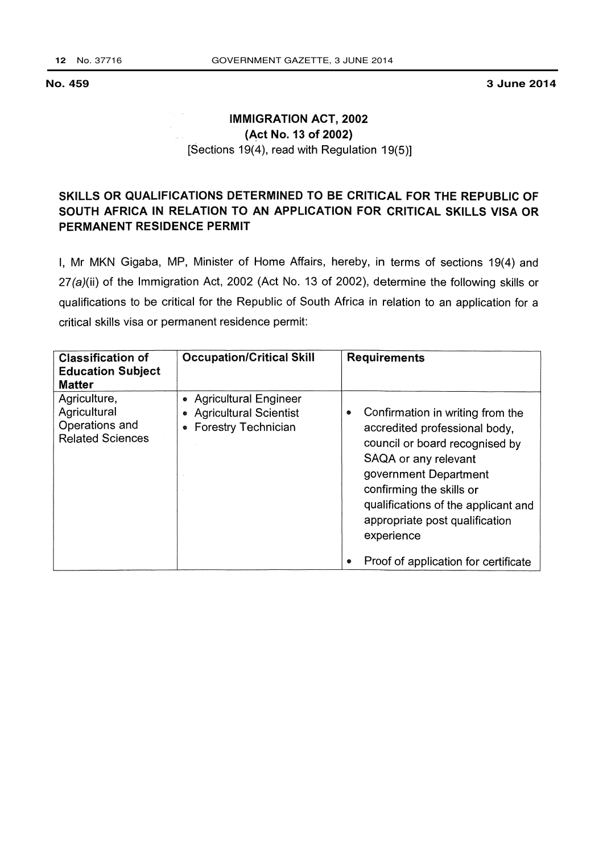3 June 2014

## **IMMIGRATION ACT, 2002** (Act No. 13 of 2002) [Sections 19(4), read with Regulation 19(5)]

## SKILLS OR QUALIFICATIONS DETERMINED TO BE CRITICAL FOR THE REPUBLIC OF SOUTH AFRICA IN RELATION TO AN APPLICATION FOR CRITICAL SKILLS VISA OR PERMANENT RESIDENCE PERMIT

I, Mr MKN Gigaba, MP, Minister of Home Affairs, hereby, in terms of sections 19(4) and 27(a)(ii) of the Immigration Act, 2002 (Act No. 13 of 2002), determine the following skills or qualifications to be critical for the Republic of South Africa in relation to an application for a critical skills visa or permanent residence permit:

| <b>Classification of</b><br><b>Education Subject</b><br><b>Matter</b>     | <b>Occupation/Critical Skill</b>                                                       | <b>Requirements</b>                                                                                                                                                                                                                                                          |
|---------------------------------------------------------------------------|----------------------------------------------------------------------------------------|------------------------------------------------------------------------------------------------------------------------------------------------------------------------------------------------------------------------------------------------------------------------------|
| Agriculture,<br>Agricultural<br>Operations and<br><b>Related Sciences</b> | • Agricultural Engineer<br><b>Agricultural Scientist</b><br><b>Forestry Technician</b> | Confirmation in writing from the<br>۰<br>accredited professional body,<br>council or board recognised by<br>SAQA or any relevant<br>government Department<br>confirming the skills or<br>qualifications of the applicant and<br>appropriate post qualification<br>experience |
|                                                                           |                                                                                        | Proof of application for certificate                                                                                                                                                                                                                                         |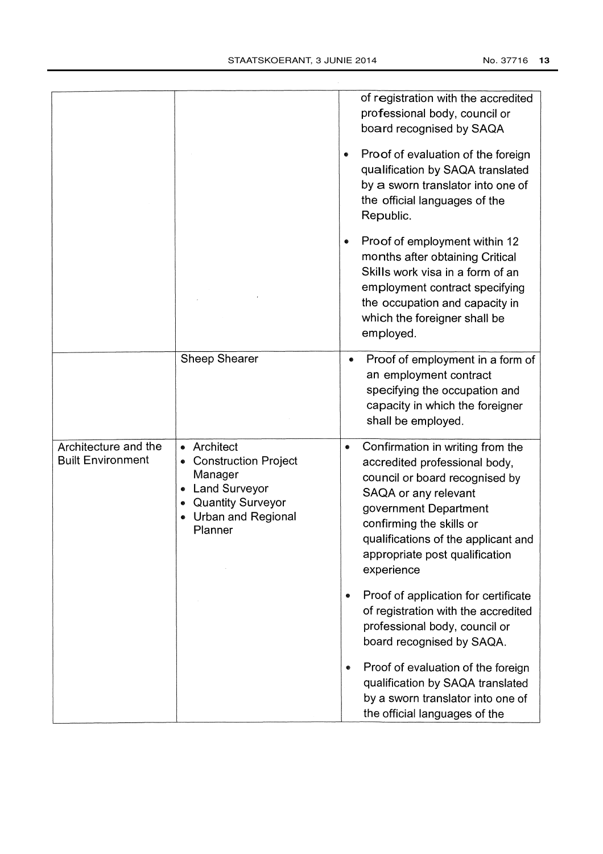|                                                  |                                                                                                                                                   | of registration with the accredited<br>professional body, council or<br>board recognised by SAQA                                                                                                                                                                                     |
|--------------------------------------------------|---------------------------------------------------------------------------------------------------------------------------------------------------|--------------------------------------------------------------------------------------------------------------------------------------------------------------------------------------------------------------------------------------------------------------------------------------|
|                                                  |                                                                                                                                                   | Proof of evaluation of the foreign<br>qualification by SAQA translated<br>by a sworn translator into one of<br>the official languages of the<br>Republic.                                                                                                                            |
|                                                  |                                                                                                                                                   | Proof of employment within 12<br>$\bullet$<br>months after obtaining Critical<br>Skills work visa in a form of an<br>employment contract specifying<br>the occupation and capacity in<br>which the foreigner shall be<br>employed.                                                   |
|                                                  | <b>Sheep Shearer</b>                                                                                                                              | Proof of employment in a form of<br>an employment contract<br>specifying the occupation and<br>capacity in which the foreigner<br>shall be employed.                                                                                                                                 |
| Architecture and the<br><b>Built Environment</b> | • Architect<br><b>Construction Project</b><br>Manager<br><b>Land Surveyor</b><br><b>Quantity Surveyor</b><br><b>Urban and Regional</b><br>Planner | Confirmation in writing from the<br>$\bullet$<br>accredited professional body,<br>council or board recognised by<br>SAQA or any relevant<br>government Department<br>confirming the skills or<br>qualifications of the applicant and<br>appropriate post qualification<br>experience |
|                                                  |                                                                                                                                                   | Proof of application for certificate<br>۰<br>of registration with the accredited<br>professional body, council or<br>board recognised by SAQA.                                                                                                                                       |
|                                                  |                                                                                                                                                   | Proof of evaluation of the foreign<br>●<br>qualification by SAQA translated<br>by a sworn translator into one of<br>the official languages of the                                                                                                                                    |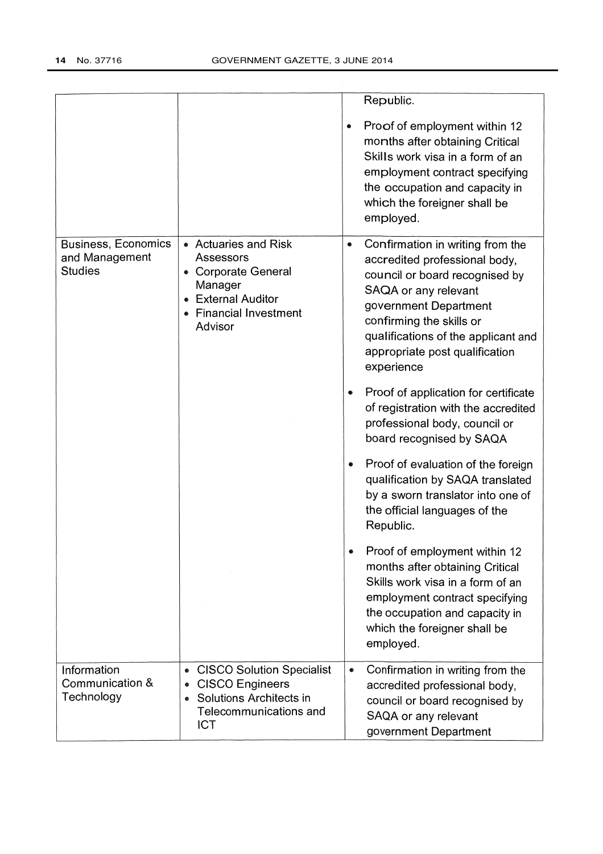|                                                                |                                                                                                                                       |           | Republic.                                                                                                                                                                                                                                                               |
|----------------------------------------------------------------|---------------------------------------------------------------------------------------------------------------------------------------|-----------|-------------------------------------------------------------------------------------------------------------------------------------------------------------------------------------------------------------------------------------------------------------------------|
|                                                                |                                                                                                                                       | ۰         | Proof of employment within 12<br>months after obtaining Critical<br>Skills work visa in a form of an<br>employment contract specifying<br>the occupation and capacity in<br>which the foreigner shall be<br>employed.                                                   |
| <b>Business, Economics</b><br>and Management<br><b>Studies</b> | • Actuaries and Risk<br>Assessors<br>• Corporate General<br>Manager<br><b>• External Auditor</b><br>• Financial Investment<br>Advisor | $\bullet$ | Confirmation in writing from the<br>accredited professional body,<br>council or board recognised by<br>SAQA or any relevant<br>government Department<br>confirming the skills or<br>qualifications of the applicant and<br>appropriate post qualification<br>experience |
|                                                                |                                                                                                                                       |           | Proof of application for certificate<br>of registration with the accredited<br>professional body, council or<br>board recognised by SAQA                                                                                                                                |
|                                                                |                                                                                                                                       |           | Proof of evaluation of the foreign<br>qualification by SAQA translated<br>by a sworn translator into one of<br>the official languages of the<br>Republic.                                                                                                               |
|                                                                |                                                                                                                                       |           | Proof of employment within 12<br>months after obtaining Critical<br>Skills work visa in a form of an<br>employment contract specifying<br>the occupation and capacity in<br>which the foreigner shall be<br>employed.                                                   |
| Information<br>Communication &<br>Technology                   | <b>CISCO Solution Specialist</b><br><b>CISCO Engineers</b><br>Solutions Architects in<br>Telecommunications and<br><b>ICT</b>         | $\bullet$ | Confirmation in writing from the<br>accredited professional body,<br>council or board recognised by<br>SAQA or any relevant<br>government Department                                                                                                                    |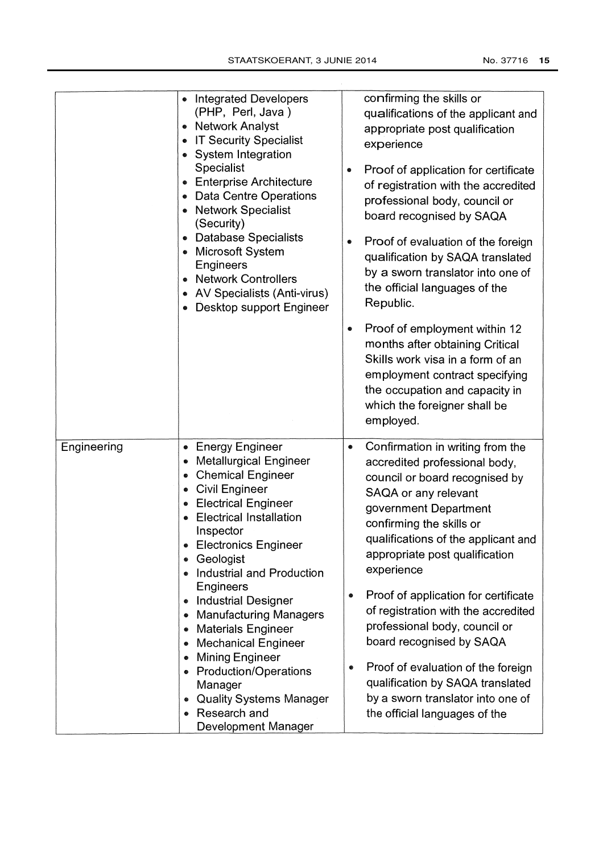|             | <b>Integrated Developers</b><br>(PHP, Perl, Java)<br>• Network Analyst<br><b>IT Security Specialist</b><br><b>System Integration</b><br>Specialist<br>• Enterprise Architecture<br><b>Data Centre Operations</b><br><b>Network Specialist</b><br>(Security)<br><b>Database Specialists</b><br>Microsoft System<br>Engineers<br>• Network Controllers<br><b>AV Specialists (Anti-virus)</b><br>Desktop support Engineer                                                                                                                                                                                | confirming the skills or<br>qualifications of the applicant and<br>appropriate post qualification<br>experience<br>Proof of application for certificate<br>of registration with the accredited<br>professional body, council or<br>board recognised by SAQA<br>Proof of evaluation of the foreign<br>$\bullet$<br>qualification by SAQA translated<br>by a sworn translator into one of<br>the official languages of the<br>Republic.<br>Proof of employment within 12<br>$\bullet$<br>months after obtaining Critical<br>Skills work visa in a form of an<br>employment contract specifying<br>the occupation and capacity in<br>which the foreigner shall be<br>employed. |
|-------------|-------------------------------------------------------------------------------------------------------------------------------------------------------------------------------------------------------------------------------------------------------------------------------------------------------------------------------------------------------------------------------------------------------------------------------------------------------------------------------------------------------------------------------------------------------------------------------------------------------|-----------------------------------------------------------------------------------------------------------------------------------------------------------------------------------------------------------------------------------------------------------------------------------------------------------------------------------------------------------------------------------------------------------------------------------------------------------------------------------------------------------------------------------------------------------------------------------------------------------------------------------------------------------------------------|
| Engineering | <b>Energy Engineer</b><br><b>Metallurgical Engineer</b><br><b>Chemical Engineer</b><br><b>Civil Engineer</b><br>$\bullet$<br><b>Electrical Engineer</b><br>$\bullet$<br><b>Electrical Installation</b><br>Inspector<br><b>Electronics Engineer</b><br>Geologist<br>Industrial and Production<br>Engineers<br><b>Industrial Designer</b><br>$\bullet$<br><b>Manufacturing Managers</b><br><b>Materials Engineer</b><br><b>Mechanical Engineer</b><br><b>Mining Engineer</b><br><b>Production/Operations</b><br>Manager<br><b>Quality Systems Manager</b><br>Research and<br><b>Development Manager</b> | Confirmation in writing from the<br>accredited professional body,<br>council or board recognised by<br>SAQA or any relevant<br>government Department<br>confirming the skills or<br>qualifications of the applicant and<br>appropriate post qualification<br>experience<br>Proof of application for certificate<br>۰<br>of registration with the accredited<br>professional body, council or<br>board recognised by SAQA<br>Proof of evaluation of the foreign<br>۰<br>qualification by SAQA translated<br>by a sworn translator into one of<br>the official languages of the                                                                                               |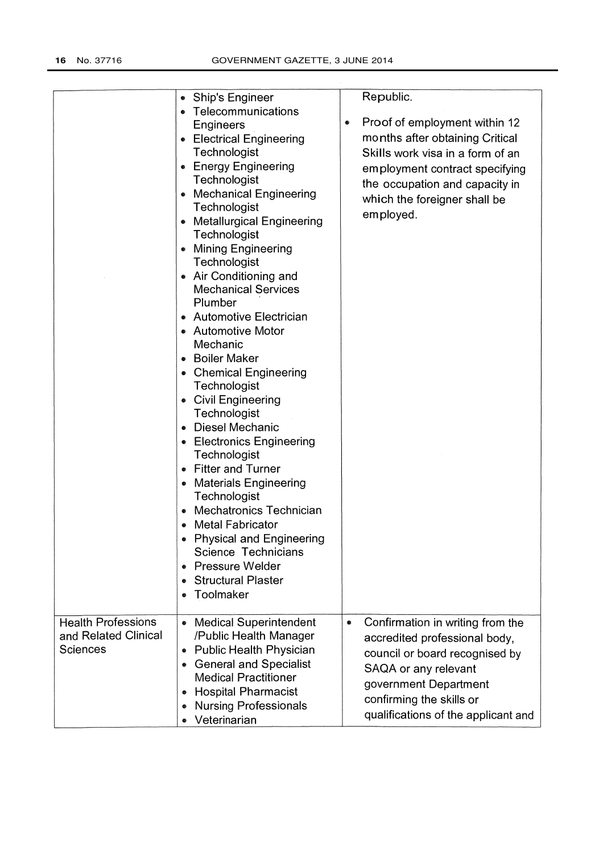|                           |                                                | Republic.                             |
|---------------------------|------------------------------------------------|---------------------------------------|
|                           | <b>Ship's Engineer</b><br>• Telecommunications |                                       |
|                           | Engineers                                      | Proof of employment within 12<br>۰    |
|                           |                                                | months after obtaining Critical       |
|                           | • Electrical Engineering                       |                                       |
|                           | Technologist                                   | Skills work visa in a form of an      |
|                           | <b>Energy Engineering</b><br>$\bullet$         | employment contract specifying        |
|                           | Technologist                                   | the occupation and capacity in        |
|                           | <b>Mechanical Engineering</b>                  | which the foreigner shall be          |
|                           | Technologist                                   | employed.                             |
|                           | • Metallurgical Engineering                    |                                       |
|                           | Technologist                                   |                                       |
|                           | <b>Mining Engineering</b>                      |                                       |
|                           | Technologist                                   |                                       |
|                           | • Air Conditioning and                         |                                       |
|                           | <b>Mechanical Services</b>                     |                                       |
|                           | Plumber                                        |                                       |
|                           | <b>Automotive Electrician</b><br>٠             |                                       |
|                           | • Automotive Motor                             |                                       |
|                           | Mechanic                                       |                                       |
|                           | <b>Boiler Maker</b>                            |                                       |
|                           | <b>Chemical Engineering</b>                    |                                       |
|                           | Technologist                                   |                                       |
|                           | • Civil Engineering<br>Technologist            |                                       |
|                           | • Diesel Mechanic                              |                                       |
|                           | • Electronics Engineering                      |                                       |
|                           | Technologist                                   |                                       |
|                           | <b>Fitter and Turner</b>                       |                                       |
|                           | <b>Materials Engineering</b><br>$\bullet$      |                                       |
|                           | Technologist                                   |                                       |
|                           | <b>Mechatronics Technician</b><br>$\bullet$    |                                       |
|                           | <b>Metal Fabricator</b>                        |                                       |
|                           | <b>Physical and Engineering</b>                |                                       |
|                           | Science Technicians                            |                                       |
|                           | <b>Pressure Welder</b><br>$\bullet$            |                                       |
|                           | <b>Structural Plaster</b><br>$\bullet$         |                                       |
|                           | Toolmaker                                      |                                       |
|                           |                                                |                                       |
| <b>Health Professions</b> | <b>Medical Superintendent</b>                  | Confirmation in writing from the<br>۰ |
| and Related Clinical      | /Public Health Manager                         | accredited professional body,         |
| <b>Sciences</b>           | <b>Public Health Physician</b><br>●            |                                       |
|                           | <b>General and Specialist</b>                  | council or board recognised by        |
|                           | <b>Medical Practitioner</b>                    | SAQA or any relevant                  |
|                           | <b>Hospital Pharmacist</b>                     | government Department                 |
|                           | <b>Nursing Professionals</b>                   | confirming the skills or              |
|                           | Veterinarian                                   | qualifications of the applicant and   |
|                           |                                                |                                       |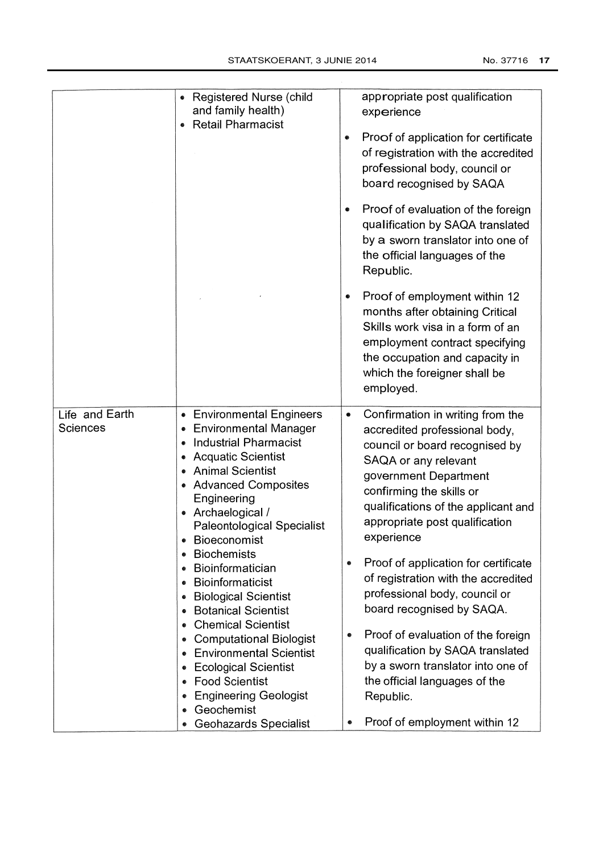|                            | <b>Registered Nurse (child</b><br>$\bullet$<br>and family health)<br><b>Retail Pharmacist</b><br>۰                                                                                                                                                                                                                                                                                                                                                                                                                                                                                                                                                                       | ۰<br>۰                   | appropriate post qualification<br>experience<br>Proof of application for certificate<br>of registration with the accredited<br>professional body, council or<br>board recognised by SAQA<br>Proof of evaluation of the foreign<br>qualification by SAQA translated<br>by a sworn translator into one of<br>the official languages of the<br>Republic.<br>Proof of employment within 12<br>months after obtaining Critical<br>Skills work visa in a form of an<br>employment contract specifying<br>the occupation and capacity in<br>which the foreigner shall be<br>employed.                                     |
|----------------------------|--------------------------------------------------------------------------------------------------------------------------------------------------------------------------------------------------------------------------------------------------------------------------------------------------------------------------------------------------------------------------------------------------------------------------------------------------------------------------------------------------------------------------------------------------------------------------------------------------------------------------------------------------------------------------|--------------------------|--------------------------------------------------------------------------------------------------------------------------------------------------------------------------------------------------------------------------------------------------------------------------------------------------------------------------------------------------------------------------------------------------------------------------------------------------------------------------------------------------------------------------------------------------------------------------------------------------------------------|
| Life and Earth<br>Sciences | <b>Environmental Engineers</b><br><b>Environmental Manager</b><br>$\bullet$<br><b>Industrial Pharmacist</b><br><b>Acquatic Scientist</b><br><b>Animal Scientist</b><br>• Advanced Composites<br>Engineering<br>• Archaelogical /<br><b>Paleontological Specialist</b><br><b>Bioeconomist</b><br><b>Biochemists</b><br>Bioinformatician<br>۰<br>Bioinformaticist<br><b>Biological Scientist</b><br><b>Botanical Scientist</b><br><b>Chemical Scientist</b><br><b>Computational Biologist</b><br>۰<br><b>Environmental Scientist</b><br><b>Ecological Scientist</b><br><b>Food Scientist</b><br><b>Engineering Geologist</b><br>Geochemist<br><b>Geohazards Specialist</b> | $\bullet$<br>۰<br>۰<br>● | Confirmation in writing from the<br>accredited professional body,<br>council or board recognised by<br>SAQA or any relevant<br>government Department<br>confirming the skills or<br>qualifications of the applicant and<br>appropriate post qualification<br>experience<br>Proof of application for certificate<br>of registration with the accredited<br>professional body, council or<br>board recognised by SAQA.<br>Proof of evaluation of the foreign<br>qualification by SAQA translated<br>by a sworn translator into one of<br>the official languages of the<br>Republic.<br>Proof of employment within 12 |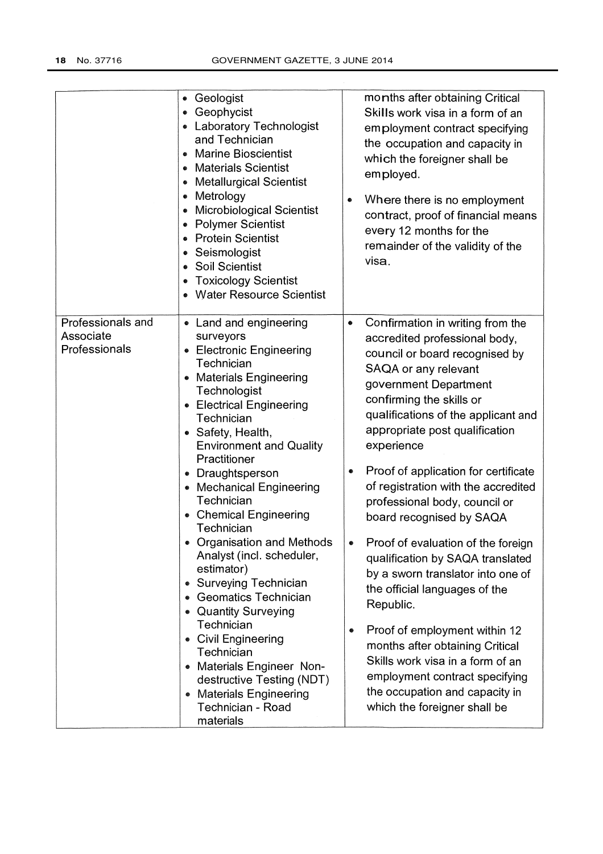|                                                 | Geologist<br>$\bullet$<br>Geophycist<br>• Laboratory Technologist<br>and Technician<br><b>Marine Bioscientist</b><br><b>Materials Scientist</b><br><b>Metallurgical Scientist</b><br>Metrology<br>۰<br>Microbiological Scientist<br><b>Polymer Scientist</b><br><b>Protein Scientist</b><br>Seismologist<br><b>Soil Scientist</b><br><b>Toxicology Scientist</b><br>$\bullet$<br>• Water Resource Scientist                                                                                                                                                                                                                                                                                        | months after obtaining Critical<br>Skills work visa in a form of an<br>employment contract specifying<br>the occupation and capacity in<br>which the foreigner shall be<br>employed.<br>Where there is no employment<br>contract, proof of financial means<br>every 12 months for the<br>remainder of the validity of the<br>visa.                                                                                                                                                                                                                                                                                                                                                                                                                                                                               |
|-------------------------------------------------|----------------------------------------------------------------------------------------------------------------------------------------------------------------------------------------------------------------------------------------------------------------------------------------------------------------------------------------------------------------------------------------------------------------------------------------------------------------------------------------------------------------------------------------------------------------------------------------------------------------------------------------------------------------------------------------------------|------------------------------------------------------------------------------------------------------------------------------------------------------------------------------------------------------------------------------------------------------------------------------------------------------------------------------------------------------------------------------------------------------------------------------------------------------------------------------------------------------------------------------------------------------------------------------------------------------------------------------------------------------------------------------------------------------------------------------------------------------------------------------------------------------------------|
| Professionals and<br>Associate<br>Professionals | • Land and engineering<br>surveyors<br><b>Electronic Engineering</b><br>Technician<br>• Materials Engineering<br>Technologist<br>• Electrical Engineering<br>Technician<br>• Safety, Health,<br><b>Environment and Quality</b><br>Practitioner<br>• Draughtsperson<br>• Mechanical Engineering<br>Technician<br>• Chemical Engineering<br>Technician<br>• Organisation and Methods<br>Analyst (incl. scheduler,<br>estimator)<br>• Surveying Technician<br><b>Geomatics Technician</b><br><b>Quantity Surveying</b><br>Technician<br>• Civil Engineering<br>Technician<br>• Materials Engineer Non-<br>destructive Testing (NDT)<br><b>Materials Engineering</b><br>Technician - Road<br>materials | Confirmation in writing from the<br>۰<br>accredited professional body,<br>council or board recognised by<br>SAQA or any relevant<br>government Department<br>confirming the skills or<br>qualifications of the applicant and<br>appropriate post qualification<br>experience<br>Proof of application for certificate<br>۰<br>of registration with the accredited<br>professional body, council or<br>board recognised by SAQA<br>Proof of evaluation of the foreign<br>۰<br>qualification by SAQA translated<br>by a sworn translator into one of<br>the official languages of the<br>Republic.<br>Proof of employment within 12<br>۰<br>months after obtaining Critical<br>Skills work visa in a form of an<br>employment contract specifying<br>the occupation and capacity in<br>which the foreigner shall be |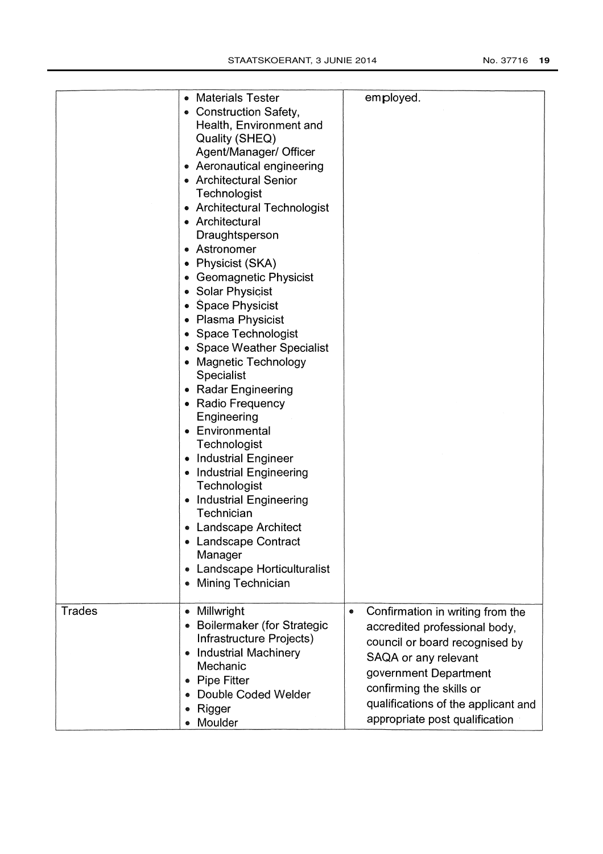|               | <b>Materials Tester</b>                                                                                                                                                                                                                                                                                                                                                                                                                                                                                                                                                                                                                                                                                                                                                                                                          |                                                                                                                                                                                                                                                                |
|---------------|----------------------------------------------------------------------------------------------------------------------------------------------------------------------------------------------------------------------------------------------------------------------------------------------------------------------------------------------------------------------------------------------------------------------------------------------------------------------------------------------------------------------------------------------------------------------------------------------------------------------------------------------------------------------------------------------------------------------------------------------------------------------------------------------------------------------------------|----------------------------------------------------------------------------------------------------------------------------------------------------------------------------------------------------------------------------------------------------------------|
|               | • Construction Safety,<br>Health, Environment and<br>Quality (SHEQ)<br>Agent/Manager/ Officer<br>• Aeronautical engineering<br>• Architectural Senior<br>Technologist<br>• Architectural Technologist<br>• Architectural<br>Draughtsperson<br>• Astronomer<br>• Physicist (SKA)<br>• Geomagnetic Physicist<br>• Solar Physicist<br>• Space Physicist<br>• Plasma Physicist<br>• Space Technologist<br>• Space Weather Specialist<br>• Magnetic Technology<br><b>Specialist</b><br>• Radar Engineering<br>• Radio Frequency<br>Engineering<br>• Environmental<br>Technologist<br>• Industrial Engineer<br><b>Industrial Engineering</b><br>Technologist<br><b>Industrial Engineering</b><br>Technician<br>• Landscape Architect<br><b>Landscape Contract</b><br>Manager<br>Landscape Horticulturalist<br>۰<br>• Mining Technician | employed.                                                                                                                                                                                                                                                      |
| <b>Trades</b> | Millwright<br><b>Boilermaker (for Strategic</b><br>Infrastructure Projects)<br><b>Industrial Machinery</b><br>۰<br>Mechanic<br><b>Pipe Fitter</b><br>Double Coded Welder<br>Rigger<br>Moulder                                                                                                                                                                                                                                                                                                                                                                                                                                                                                                                                                                                                                                    | Confirmation in writing from the<br>۰<br>accredited professional body,<br>council or board recognised by<br>SAQA or any relevant<br>government Department<br>confirming the skills or<br>qualifications of the applicant and<br>appropriate post qualification |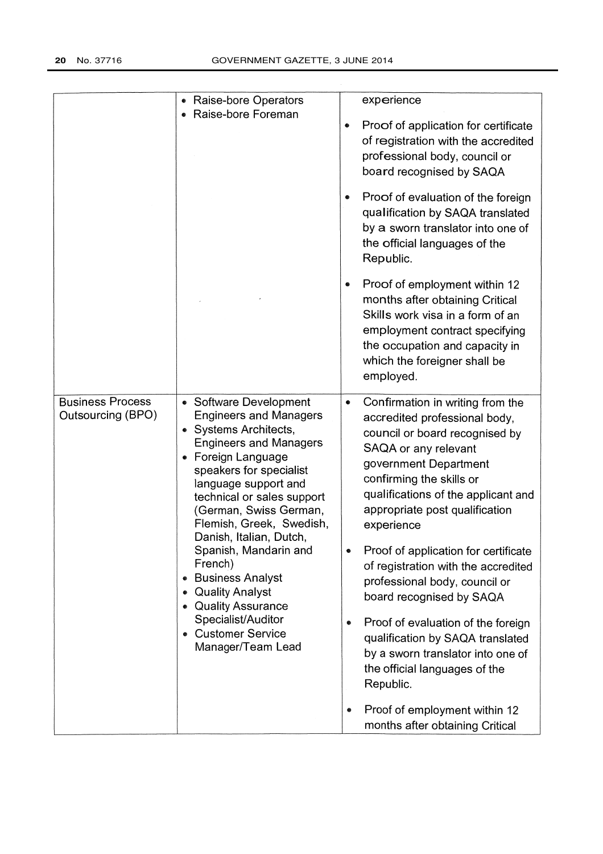|                                              | Raise-bore Operators                                                                                                                                                                                                                                                                                                                                                                                                                                                                            |                     | experience                                                                                                                                                                                                                                                                                                                                                                                                                                                                                                                                                                                                        |
|----------------------------------------------|-------------------------------------------------------------------------------------------------------------------------------------------------------------------------------------------------------------------------------------------------------------------------------------------------------------------------------------------------------------------------------------------------------------------------------------------------------------------------------------------------|---------------------|-------------------------------------------------------------------------------------------------------------------------------------------------------------------------------------------------------------------------------------------------------------------------------------------------------------------------------------------------------------------------------------------------------------------------------------------------------------------------------------------------------------------------------------------------------------------------------------------------------------------|
|                                              | Raise-bore Foreman                                                                                                                                                                                                                                                                                                                                                                                                                                                                              |                     | Proof of application for certificate<br>of registration with the accredited<br>professional body, council or<br>board recognised by SAQA                                                                                                                                                                                                                                                                                                                                                                                                                                                                          |
|                                              |                                                                                                                                                                                                                                                                                                                                                                                                                                                                                                 |                     | Proof of evaluation of the foreign<br>qualification by SAQA translated<br>by a sworn translator into one of<br>the official languages of the<br>Republic.                                                                                                                                                                                                                                                                                                                                                                                                                                                         |
|                                              |                                                                                                                                                                                                                                                                                                                                                                                                                                                                                                 | ۰                   | Proof of employment within 12<br>months after obtaining Critical<br>Skills work visa in a form of an<br>employment contract specifying<br>the occupation and capacity in<br>which the foreigner shall be<br>employed.                                                                                                                                                                                                                                                                                                                                                                                             |
| <b>Business Process</b><br>Outsourcing (BPO) | • Software Development<br><b>Engineers and Managers</b><br>• Systems Architects,<br><b>Engineers and Managers</b><br>• Foreign Language<br>speakers for specialist<br>language support and<br>technical or sales support<br>(German, Swiss German,<br>Flemish, Greek, Swedish,<br>Danish, Italian, Dutch,<br>Spanish, Mandarin and<br>French)<br><b>Business Analyst</b><br>۰<br><b>Quality Analyst</b><br>• Quality Assurance<br>Specialist/Auditor<br>• Customer Service<br>Manager/Team Lead | $\bullet$<br>۰<br>۰ | Confirmation in writing from the<br>accredited professional body,<br>council or board recognised by<br>SAQA or any relevant<br>government Department<br>confirming the skills or<br>qualifications of the applicant and<br>appropriate post qualification<br>experience<br>Proof of application for certificate<br>of registration with the accredited<br>professional body, council or<br>board recognised by SAQA<br>Proof of evaluation of the foreign<br>qualification by SAQA translated<br>by a sworn translator into one of<br>the official languages of the<br>Republic.<br>Proof of employment within 12 |
|                                              |                                                                                                                                                                                                                                                                                                                                                                                                                                                                                                 |                     | months after obtaining Critical                                                                                                                                                                                                                                                                                                                                                                                                                                                                                                                                                                                   |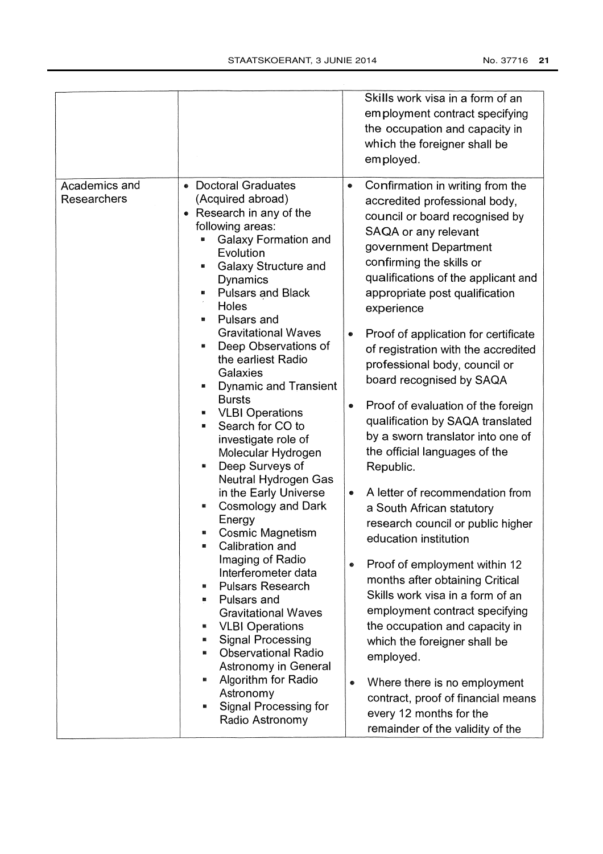|                                                                                                                                                                                                                                                                                                                                                                                                                                                                                                                                                                                                                                                                                                                                                                                                                                                                                                                                                                                                                                   | Skills work visa in a form of an<br>employment contract specifying<br>the occupation and capacity in<br>which the foreigner shall be<br>employed.                                                                                                                                                                                                                                                                                                                                                                                                                                                                                                                                                                                                                                                                                                                                                                                                                                                                                                                                      |
|-----------------------------------------------------------------------------------------------------------------------------------------------------------------------------------------------------------------------------------------------------------------------------------------------------------------------------------------------------------------------------------------------------------------------------------------------------------------------------------------------------------------------------------------------------------------------------------------------------------------------------------------------------------------------------------------------------------------------------------------------------------------------------------------------------------------------------------------------------------------------------------------------------------------------------------------------------------------------------------------------------------------------------------|----------------------------------------------------------------------------------------------------------------------------------------------------------------------------------------------------------------------------------------------------------------------------------------------------------------------------------------------------------------------------------------------------------------------------------------------------------------------------------------------------------------------------------------------------------------------------------------------------------------------------------------------------------------------------------------------------------------------------------------------------------------------------------------------------------------------------------------------------------------------------------------------------------------------------------------------------------------------------------------------------------------------------------------------------------------------------------------|
| Academics and<br><b>Doctoral Graduates</b><br>Researchers<br>(Acquired abroad)<br>• Research in any of the<br>following areas:<br><b>Galaxy Formation and</b><br>Evolution<br><b>Galaxy Structure and</b><br><b>Dynamics</b><br><b>Pulsars and Black</b><br>Holes<br>Pulsars and<br><b>Gravitational Waves</b><br>Deep Observations of<br>the earliest Radio<br>Galaxies<br><b>Dynamic and Transient</b><br><b>Bursts</b><br><b>VLBI Operations</b><br>Search for CO to<br>investigate role of<br>Molecular Hydrogen<br>Deep Surveys of<br>Neutral Hydrogen Gas<br>in the Early Universe<br>Cosmology and Dark<br>es.<br>Energy<br><b>Cosmic Magnetism</b><br>Calibration and<br>儱<br>Imaging of Radio<br>Interferometer data<br><b>Pulsars Research</b><br>羀<br>Pulsars and<br><b>Gravitational Waves</b><br><b>VLBI Operations</b><br>翳<br><b>Signal Processing</b><br>羀<br><b>Observational Radio</b><br>國<br><b>Astronomy in General</b><br>Algorithm for Radio<br>靈<br>Astronomy<br>Signal Processing for<br>Radio Astronomy | Confirmation in writing from the<br>۰<br>accredited professional body,<br>council or board recognised by<br>SAQA or any relevant<br>government Department<br>confirming the skills or<br>qualifications of the applicant and<br>appropriate post qualification<br>experience<br>Proof of application for certificate<br>۰<br>of registration with the accredited<br>professional body, council or<br>board recognised by SAQA<br>Proof of evaluation of the foreign<br>●<br>qualification by SAQA translated<br>by a sworn translator into one of<br>the official languages of the<br>Republic.<br>A letter of recommendation from<br>۰<br>a South African statutory<br>research council or public higher<br>education institution<br>Proof of employment within 12<br>$\bullet$<br>months after obtaining Critical<br>Skills work visa in a form of an<br>employment contract specifying<br>the occupation and capacity in<br>which the foreigner shall be<br>employed.<br>Where there is no employment<br>$\bullet$<br>contract, proof of financial means<br>every 12 months for the |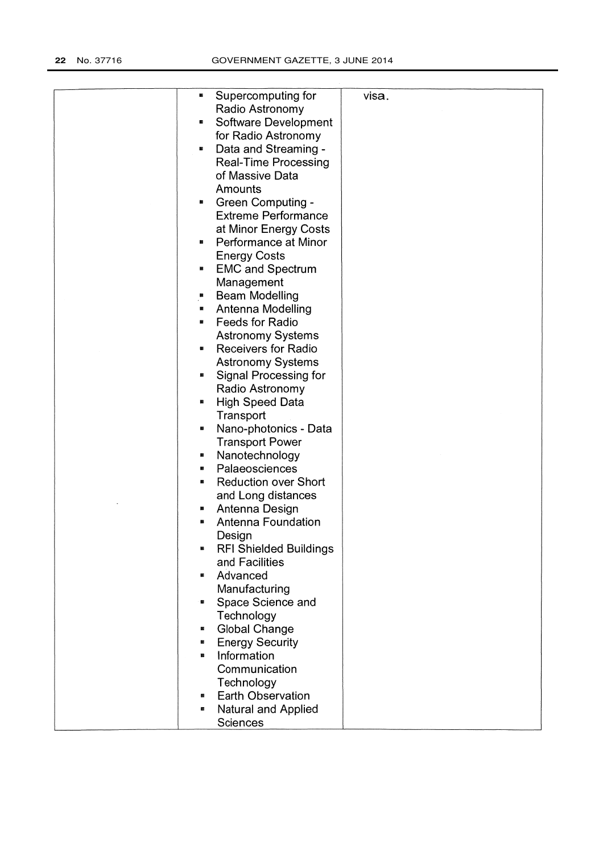| Supercomputing for<br>屬                | visa. |
|----------------------------------------|-------|
| Radio Astronomy                        |       |
| Software Development<br>g,             |       |
| for Radio Astronomy                    |       |
| Data and Streaming -<br>$\blacksquare$ |       |
| <b>Real-Time Processing</b>            |       |
| of Massive Data                        |       |
| Amounts                                |       |
| <b>Green Computing -</b><br>×          |       |
| <b>Extreme Performance</b>             |       |
|                                        |       |
| at Minor Energy Costs                  |       |
| Performance at Minor<br>M.             |       |
| <b>Energy Costs</b>                    |       |
| <b>EMC and Spectrum</b><br>g,          |       |
| Management                             |       |
| <b>Beam Modelling</b>                  |       |
| Antenna Modelling<br>×                 |       |
| <b>Feeds for Radio</b><br>圖            |       |
| <b>Astronomy Systems</b>               |       |
| <b>Receivers for Radio</b><br>g,       |       |
| <b>Astronomy Systems</b>               |       |
| Signal Processing for<br>靨             |       |
| Radio Astronomy                        |       |
| <b>High Speed Data</b><br>g,           |       |
| Transport                              |       |
| Nano-photonics - Data<br>ø             |       |
| <b>Transport Power</b>                 |       |
| Nanotechnology<br>æ                    |       |
| Palaeosciences<br>飂                    |       |
| <b>Reduction over Short</b><br>麟       |       |
| and Long distances                     |       |
| Antenna Design<br>翳                    |       |
| Antenna Foundation<br>露                |       |
| Design                                 |       |
| <b>RFI Shielded Buildings</b><br>U.    |       |
| and Facilities                         |       |
| Advanced<br>雛                          |       |
| Manufacturing                          |       |
| 羀                                      |       |
| Space Science and                      |       |
| Technology                             |       |
| <b>Global Change</b><br>蓋              |       |
| <b>Energy Security</b><br>醫            |       |
| Information<br>醠                       |       |
| Communication                          |       |
| Technology                             |       |
| <b>Earth Observation</b><br>靈          |       |
| Natural and Applied<br>œ               |       |
| Sciences                               |       |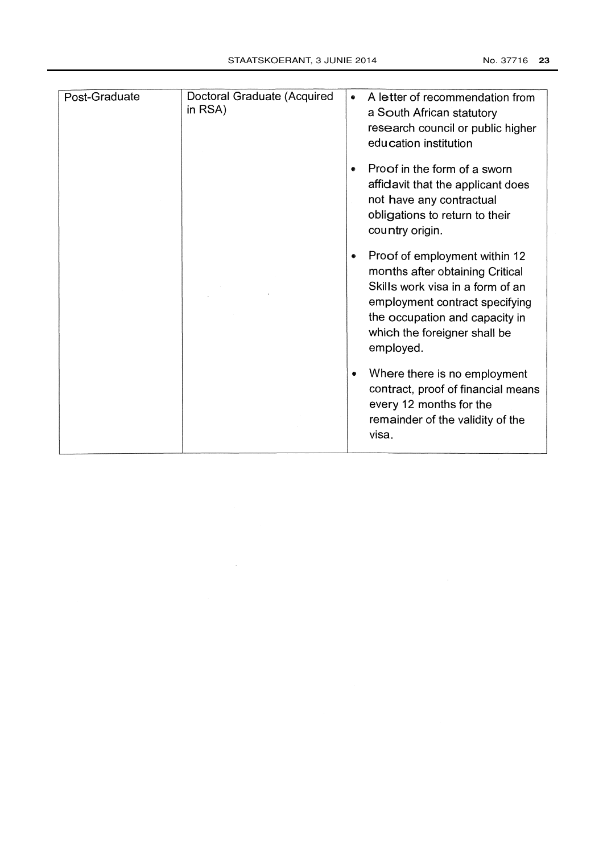| Post-Graduate | Doctoral Graduate (Acquired<br>in RSA) | A letter of recommendation from<br>۰<br>a South African statutory<br>research council or public higher<br>education institution                                                                                            |
|---------------|----------------------------------------|----------------------------------------------------------------------------------------------------------------------------------------------------------------------------------------------------------------------------|
|               |                                        | Proof in the form of a sworn<br>$\bullet$<br>affidavit that the applicant does<br>not have any contractual<br>obligations to return to their<br>country origin.                                                            |
|               |                                        | Proof of employment within 12<br>۰<br>months after obtaining Critical<br>Skills work visa in a form of an<br>employment contract specifying<br>the occupation and capacity in<br>which the foreigner shall be<br>employed. |
|               |                                        | Where there is no employment<br>$\bullet$<br>contract, proof of financial means<br>every 12 months for the<br>remainder of the validity of the<br>visa.                                                                    |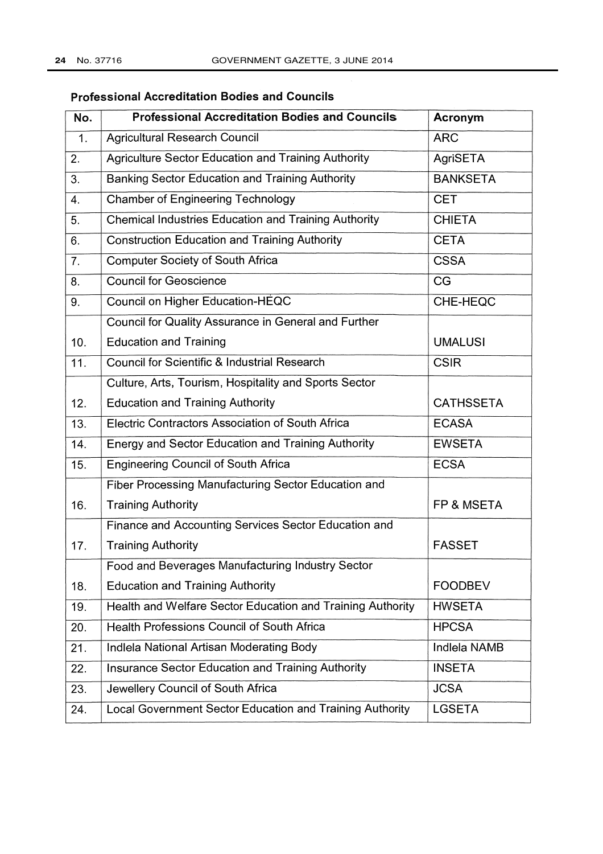## **Professional Accreditation Bodies and Councils**

| No. | <b>Professional Accreditation Bodies and Councils</b>           | Acronym             |
|-----|-----------------------------------------------------------------|---------------------|
| 1.  | <b>Agricultural Research Council</b>                            | <b>ARC</b>          |
| 2.  | <b>Agriculture Sector Education and Training Authority</b>      | AgriSETA            |
| 3.  | <b>Banking Sector Education and Training Authority</b>          | <b>BANKSETA</b>     |
| 4.  | <b>Chamber of Engineering Technology</b>                        | <b>CET</b>          |
| 5.  | <b>Chemical Industries Education and Training Authority</b>     | <b>CHIETA</b>       |
| 6.  | <b>Construction Education and Training Authority</b>            | <b>CETA</b>         |
| 7.  | <b>Computer Society of South Africa</b>                         | <b>CSSA</b>         |
| 8.  | <b>Council for Geoscience</b>                                   | CG                  |
| 9.  | Council on Higher Education-HEQC                                | CHE-HEQC            |
|     | Council for Quality Assurance in General and Further            |                     |
| 10. | <b>Education and Training</b>                                   | <b>UMALUSI</b>      |
| 11. | <b>Council for Scientific &amp; Industrial Research</b>         | <b>CSIR</b>         |
|     | Culture, Arts, Tourism, Hospitality and Sports Sector           |                     |
| 12. | <b>Education and Training Authority</b>                         | <b>CATHSSETA</b>    |
| 13. | Electric Contractors Association of South Africa                | <b>ECASA</b>        |
| 14. | <b>Energy and Sector Education and Training Authority</b>       | <b>EWSETA</b>       |
| 15. | <b>Engineering Council of South Africa</b>                      | <b>ECSA</b>         |
|     | Fiber Processing Manufacturing Sector Education and             |                     |
| 16. | <b>Training Authority</b>                                       | FP & MSETA          |
|     | Finance and Accounting Services Sector Education and            |                     |
| 17. | <b>Training Authority</b>                                       | <b>FASSET</b>       |
|     | Food and Beverages Manufacturing Industry Sector                |                     |
| 18. | <b>Education and Training Authority</b>                         | <b>FOODBEV</b>      |
| 19. | Health and Welfare Sector Education and Training Authority      | <b>HWSETA</b>       |
| 20. | <b>Health Professions Council of South Africa</b>               | <b>HPCSA</b>        |
| 21. | Indlela National Artisan Moderating Body                        | <b>Indlela NAMB</b> |
| 22. | Insurance Sector Education and Training Authority               | <b>INSETA</b>       |
| 23. | Jewellery Council of South Africa                               | <b>JCSA</b>         |
| 24. | <b>Local Government Sector Education and Training Authority</b> | <b>LGSETA</b>       |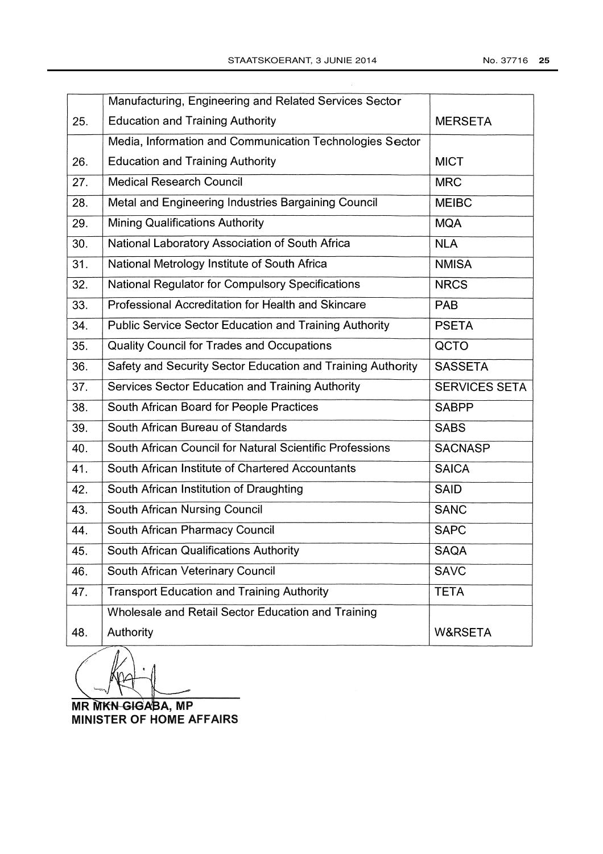|     | Manufacturing, Engineering and Related Services Sector        |                      |  |  |
|-----|---------------------------------------------------------------|----------------------|--|--|
| 25. | <b>Education and Training Authority</b>                       | <b>MERSETA</b>       |  |  |
|     | Media, Information and Communication Technologies Sector      |                      |  |  |
| 26. | <b>Education and Training Authority</b>                       | <b>MICT</b>          |  |  |
| 27. | <b>Medical Research Council</b>                               | <b>MRC</b>           |  |  |
| 28. | Metal and Engineering Industries Bargaining Council           | <b>MEIBC</b>         |  |  |
| 29. | <b>Mining Qualifications Authority</b>                        | <b>MQA</b>           |  |  |
| 30. | National Laboratory Association of South Africa               | <b>NLA</b>           |  |  |
| 31. | National Metrology Institute of South Africa                  | <b>NMISA</b>         |  |  |
| 32. | <b>National Regulator for Compulsory Specifications</b>       | <b>NRCS</b>          |  |  |
| 33. | Professional Accreditation for Health and Skincare            | <b>PAB</b>           |  |  |
| 34. | <b>Public Service Sector Education and Training Authority</b> | <b>PSETA</b>         |  |  |
| 35. | Quality Council for Trades and Occupations                    | QCTO                 |  |  |
| 36. | Safety and Security Sector Education and Training Authority   | <b>SASSETA</b>       |  |  |
| 37. | Services Sector Education and Training Authority              | <b>SERVICES SETA</b> |  |  |
| 38. | South African Board for People Practices                      | <b>SABPP</b>         |  |  |
| 39. | South African Bureau of Standards                             | <b>SABS</b>          |  |  |
| 40. | South African Council for Natural Scientific Professions      | <b>SACNASP</b>       |  |  |
| 41. | South African Institute of Chartered Accountants              | <b>SAICA</b>         |  |  |
| 42. | South African Institution of Draughting                       | <b>SAID</b>          |  |  |
| 43. | <b>South African Nursing Council</b>                          | <b>SANC</b>          |  |  |
| 44. | South African Pharmacy Council                                | <b>SAPC</b>          |  |  |
| 45. | South African Qualifications Authority                        | <b>SAQA</b>          |  |  |
| 46. | South African Veterinary Council                              | <b>SAVC</b>          |  |  |
| 47. | <b>Transport Education and Training Authority</b>             | <b>TETA</b>          |  |  |
|     | Wholesale and Retail Sector Education and Training            |                      |  |  |
| 48. | Authority                                                     | <b>W&amp;RSETA</b>   |  |  |

**MR MKN-GIGABA, MP MINISTER OF HOME AFFAIRS**